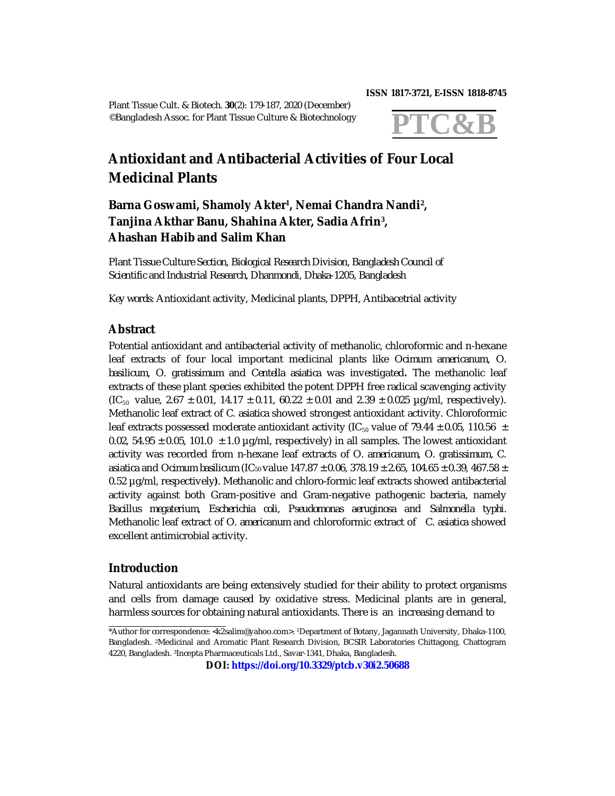**ISSN 1817-3721, E-ISSN 1818-8745** 

Plant Tissue Cult. & Biotech. **30**(2): 179-187, 2020 (December) ©Bangladesh Assoc. for Plant Tissue Culture & Biotechnology



# **Antioxidant and Antibacterial Activities of Four Local Medicinal Plants**

# **Barna Goswami, Shamoly Akter<sup>1</sup> , Nemai Chandra Nandi<sup>2</sup> , Tanjina Akthar Banu, Shahina Akter, Sadia Afrin<sup>3</sup> , Ahashan Habib and Salim Khan**

*Plant Tissue Culture Section, Biological Research Division, Bangladesh Council of Scientific and Industrial Research, Dhanmondi, Dhaka-1205, Bangladesh*

*Key words:* Antioxidant activity, Medicinal plants, DPPH, Antibacetrial activity

## **Abstract**

Potential antioxidant and antibacterial activity of methanolic, chloroformic and n-hexane leaf extracts of four local important medicinal plants like *Ocimum americanum*, *O. basilicum, O. gratissimum* and *Centella asiatica* was investigated**.** The methanolic leaf extracts of these plant species exhibited the potent DPPH free radical scavenging activity  $(IC_{50}$  value, 2.67  $\pm$  0.01, 14.17  $\pm$  0.11, 60.22  $\pm$  0.01 and 2.39  $\pm$  0.025 µg/ml, respectively). Methanolic leaf extract of *C*. *asiatica* showed strongest antioxidant activity. Chloroformic leaf extracts possessed moderate antioxidant activity (IC<sub>50</sub> value of 79.44  $\pm$  0.05, 110.56  $\pm$ 0.02, 54.95  $\pm$  0.05, 101.0  $\pm$  1.0 µg/ml, respectively) in all samples. The lowest antioxidant activity was recorded from *n*-hexane leaf extracts of *O. americanum, O. gratissimum*, *C. asiatica* and *Ocimum basilicum* (IC<sub>50</sub> value 147.87 ± 0.06, 378.19 ± 2.65, 104.65 ± 0.39, 467.58 ± 0.52 µg/ml, respectively*).* Methanolic and chloro-formic leaf extracts showed antibacterial activity against both Gram-positive and Gram-negative pathogenic bacteria, namely *Bacillus megaterium*, *Escherichia coli, Pseudomonas aeruginosa* and *Salmonella typhi*. Methanolic leaf extract of *O. americanum* and chloroformic extract of *C. asiatica* showed excellent antimicrobial activity.

### **Introduction**

Natural antioxidants are being extensively studied for their ability to protect organisms and cells from damage caused by oxidative stress. Medicinal plants are in general, harmless sources for obtaining natural antioxidants. There is an increasing demand to

**DOI: <https://doi.org/10.3329/ptcb.v30i2.50688>**

<sup>\*</sup>Author for correspondence: [<k2salim@yahoo.com](mailto:k2salim@yahoo.com)>. 1Department of Botany, Jagannath University, Dhaka-1100, Bangladesh. 2Medicinal and Aromatic Plant Research Division, BCSIR Laboratories Chittagong, Chattogram 4220, Bangladesh. 3Incepta Pharmaceuticals Ltd., Savar-1341, Dhaka, Bangladesh.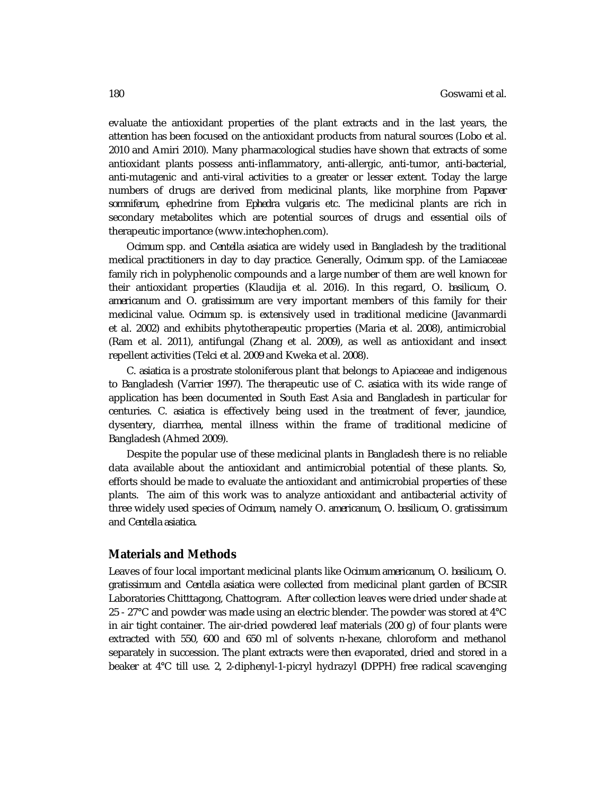evaluate the antioxidant properties of the plant extracts and in the last years, the attention has been focused on the antioxidant products from natural sources (Lobo et al. 2010 and Amiri 2010). Many pharmacological studies have shown that extracts of some antioxidant plants possess anti-inflammatory, anti-allergic, anti-tumor, anti-bacterial, anti-mutagenic and anti-viral activities to a greater or lesser extent. Today the large numbers of drugs are derived from medicinal plants, like morphine from *Papaver somniferum*, ephedrine from *Ephedra vulgaris* etc. The medicinal plants are rich in secondary metabolites which are potential sources of drugs and essential oils of therapeutic importance [\(www.intechophen.com\).](http://www.intechophen.com).)

*Ocimum* spp. and *Centella asiatica* are widely used in Bangladesh by the traditional medical practitioners in day to day practice. Generally, *Ocimum* spp. of the Lamiaceae family rich in polyphenolic compounds and a large number of them are well known for their antioxidant properties (Klaudija et al. 2016). In this regard, *O*. *basilicum*, *O. americanum* and *O. gratissimum* are very important members of this family for their medicinal value. *Ocimum* sp. is extensively used in traditional medicine (Javanmardi et al. 2002) and exhibits phytotherapeutic properties (Maria et al. 2008), antimicrobial (Ram et al. 2011), antifungal (Zhang et al. 2009), as well as antioxidant and insect repellent activities (Telci et al. 2009 and Kweka et al. 2008).

*C*. *asiatica* is a prostrate stoloniferous plant that belongs to Apiaceae and indigenous to Bangladesh (Varrier 1997). The therapeutic use of *C. asiatica* with its wide range of application has been documented in South East Asia and Bangladesh in particular for centuries. *C. asiatica* is effectively being used in the treatment of fever, jaundice, dysentery, diarrhea, mental illness within the frame of traditional medicine of Bangladesh (Ahmed 2009).

Despite the popular use of these medicinal plants in Bangladesh there is no reliable data available about the antioxidant and antimicrobial potential of these plants. So, efforts should be made to evaluate the antioxidant and antimicrobial properties of these plants. The aim of this work was to analyze antioxidant and antibacterial activity of three widely used species of *Ocimum,* namely *O. americanum, O. basilicum, O. gratissimum* and *Centella asiatica.*

#### **Materials and Methods**

Leaves of four local important medicinal plants like *Ocimum americanum, O. basilicum, O. gratissimum* and *Centella asiatica* were collected from medicinal plant garden of BCSIR Laboratories Chitttagong, Chattogram. After collection leaves were dried under shade at 25 - 27°C and powder was made using an electric blender. The powder was stored at 4°C in air tight container. The air-dried powdered leaf materials (200 g) of four plants were extracted with 550, 600 and 650 ml of solvents *n*-hexane, chloroform and methanol separately in succession. The plant extracts were then evaporated, dried and stored in a beaker at 4°C till use. 2, 2-diphenyl-1-picryl hydrazyl **(**DPPH) free radical scavenging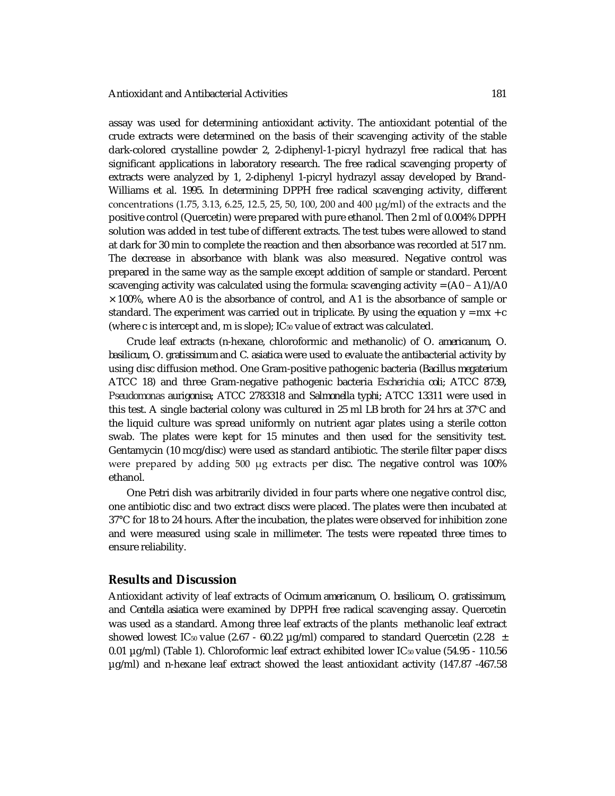assay was used for determining antioxidant activity. The antioxidant potential of the crude extracts were determined on the basis of their scavenging activity of the stable dark-colored crystalline powder 2, 2-diphenyl-1-picryl hydrazyl free radical that has significant applications in laboratory research. The free radical scavenging property of extracts were analyzed by 1, 2-diphenyl 1-picryl hydrazyl assay developed by Brand-Williams et al*.* 1995*.* In determining DPPH free radical scavenging activity, different concentrations (1.75, 3.13, 6.25, 12.5, 25, 50, 100, 200 and 400  $\mu$ g/ml) of the extracts and the positive control (Quercetin) were prepared with pure ethanol. Then 2 ml of 0.004% DPPH solution was added in test tube of different extracts. The test tubes were allowed to stand at dark for 30 min to complete the reaction and then absorbance was recorded at 517 nm. The decrease in absorbance with blank was also measured. Negative control was prepared in the same way as the sample except addition of sample or standard. Percent scavenging activity was calculated using the formula: scavenging activity = (A0 − A1)/A0 × 100%, where A0 is the absorbance of control, and A1 is the absorbance of sample or standard. The experiment was carried out in triplicate. By using the equation  $y = mx + c$ (where c is intercept and, m is slope); IC<sup>50</sup> value of extract was calculated.

Crude leaf extracts (*n*-hexane, chloroformic and methanolic) of *O. americanum, O. basilicum, O. gratissimum* and *C*. *asiatica* were used to evaluate the antibacterial activity by using disc diffusion method. One Gram-positive pathogenic bacteria (*Bacillus megaterium* ATCC 18) and three Gram-negative pathogenic bacteria *Escherichia coli*; ATCC 8739**,** *Pseudomonas aurigonisa*; ATCC 2783318 and *Salmonella typhi*; ATCC 13311 were used in this test. A single bacterial colony was cultured in 25 ml LB broth for 24 hrs at 37ºC and the liquid culture was spread uniformly on nutrient agar plates using a sterile cotton swab. The plates were kept for 15 minutes and then used for the sensitivity test. Gentamycin (10 mcg/disc) were used as standard antibiotic. The sterile filter paper discs were prepared by adding 500 μg extracts per disc. The negative control was 100% ethanol.

One Petri dish was arbitrarily divided in four parts where one negative control disc, one antibiotic disc and two extract discs were placed. The plates were then incubated at 37°C for 18 to 24 hours. After the incubation, the plates were observed for inhibition zone and were measured using scale in millimeter. The tests were repeated three times to ensure reliability.

#### **Results and Discussion**

Antioxidant activity of leaf extracts of *Ocimum americanum, O. basilicum, O. gratissimum*, and *Centella asiatica* were examined by DPPH free radical scavenging assay. Quercetin was used as a standard. Among three leaf extracts of the plants methanolic leaf extract showed lowest IC<sub>50</sub> value (2.67 - 60.22  $\mu$ g/ml) compared to standard Quercetin (2.28  $\pm$ 0.01 µg/ml) (Table 1). Chloroformic leaf extract exhibited lower IC<sub>50</sub> value (54.95 - 110.56 µg/ml) and *n*-hexane leaf extract showed the least antioxidant activity (147.87 -467.58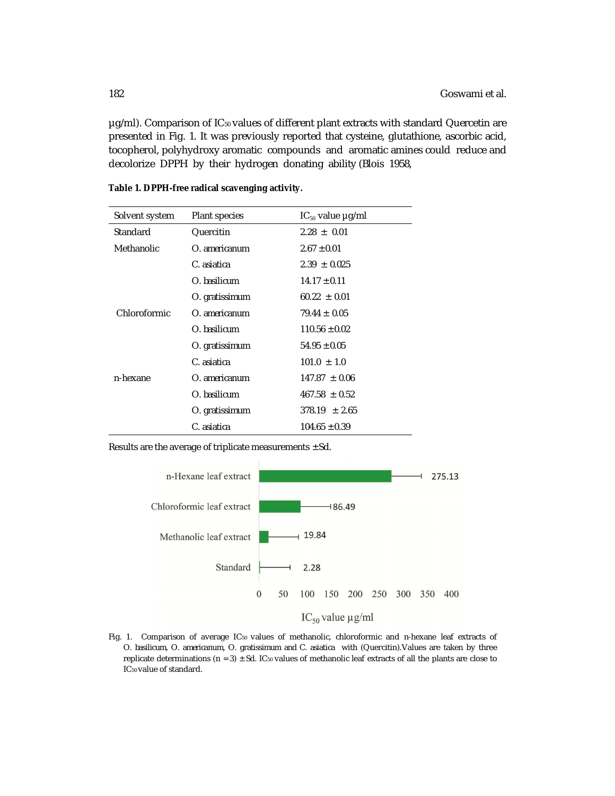µg/ml). Comparison of IC<sub>50</sub> values of different plant extracts with standard Quercetin are presented in Fig. 1. It was previously reported that cysteine, glutathione, ascorbic acid, tocopherol, polyhydroxy aromatic compounds and aromatic amines could reduce and decolorize DPPH by their hydrogen donating ability (Blois 1958,

| Solvent system   | $IC_{50}$ value $\mu$ g/ml<br><b>Plant species</b> |                   |  |
|------------------|----------------------------------------------------|-------------------|--|
| Standard         | Quercitin                                          | $2.28 \pm 0.01$   |  |
| Methanolic       | $O.$ americanum                                    | $2.67 \pm 0.01$   |  |
|                  | C. asiatica                                        | $2.39 \pm 0.025$  |  |
|                  | $O.$ basilicum                                     | $14.17 \pm 0.11$  |  |
|                  | O. gratissimum                                     | $60.22 \pm 0.01$  |  |
| Chloroformic     | O. americanum                                      | $79.44 \pm 0.05$  |  |
|                  | $O.$ basilicum                                     | $110.56 \pm 0.02$ |  |
|                  | O. gratissimum                                     | $54.95 \pm 0.05$  |  |
|                  | C. asiatica                                        | $101.0 \pm 1.0$   |  |
| <i>n</i> -hexane | O. americanum                                      | $147.87 \pm 0.06$ |  |
|                  | O. basilicum                                       | $467.58 \pm 0.52$ |  |
|                  | O. gratissimum                                     | $378.19 \pm 2.65$ |  |
|                  | C. asiatica                                        | $104.65 \pm 0.39$ |  |

#### **Table 1. DPPH-free radical scavenging activity.**

Results are the average of triplicate measurements  $\pm$  Sd.



Fig. 1. Comparison of average IC50 values of methanolic, chloroformic and *n*-hexane leaf extracts of *O*. *basilicum*, *O. americanum*, *O. gratissimum and C*. *asiatica* with (Quercitin).Values are taken by three replicate determinations ( $n = 3$ )  $\pm$  Sd. IC<sub>50</sub> values of methanolic leaf extracts of all the plants are close to IC50 value of standard.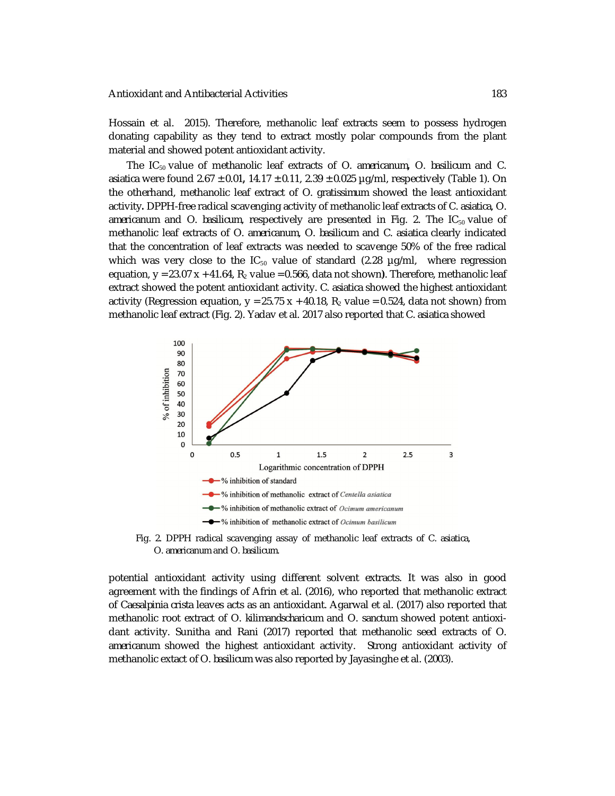Hossain et al. 2015). Therefore, methanolic leaf extracts seem to possess hydrogen donating capability as they tend to extract mostly polar compounds from the plant material and showed potent antioxidant activity.

The IC<sub>50</sub> value of methanolic leaf extracts of *O. americanum*, *O. basilicum* and *C. asiatica* were found 2.67 ± 0.01**,** 14.17 ± 0.11, 2.39 ± 0.025 µg/ml, respectively (Table 1). On the otherhand, methanolic leaf extract of *O. gratissimum* showed the least antioxidant activity*.* DPPH-free radical scavenging activity of methanolic leaf extracts of *C. asiatica, O.*  americanum and *O. basilicum*, respectively are presented in Fig. 2. The IC<sub>50</sub> value of methanolic leaf extracts of *O. americanum, O. basilicum* and *C. asiatica* clearly indicated that the concentration of leaf extracts was needed to scavenge 50% of the free radical which was very close to the  $IC_{50}$  value of standard (2.28 µg/ml, where regression equation,  $y = 23.07 x + 41.64$ ,  $R_2$  value = 0.566, data not shown). Therefore, methanolic leaf extract showed the potent antioxidant activity. *C. asiatica* showed the highest antioxidant activity (Regression equation,  $y = 25.75 x + 40.18$ ,  $R<sub>2</sub>$  value = 0.524, data not shown) from methanolic leaf extract (Fig. 2). Yadav et al. 2017 also reported that *C. asiatica* showed



Fig. 2. DPPH radical scavenging assay of methanolic leaf extracts of *C. asiatica, O. americanum* and *O. basilicum*.

potential antioxidant activity using different solvent extracts. It was also in good agreement with the findings of Afrin et al. (2016), who reported that methanolic extract of *Caesalpinia crista* leaves acts as an antioxidant. Agarwal et al. (2017) also reported that methanolic root extract of *O. kilimandscharicum* and *O. sanctum* showed potent antioxidant activity. Sunitha and Rani (2017) reported that methanolic seed extracts of *O. americanum* showed the highest antioxidant activity.Strong antioxidant activity of methanolic extact of *O. basilicum* was also reported by Jayasinghe et al. (2003).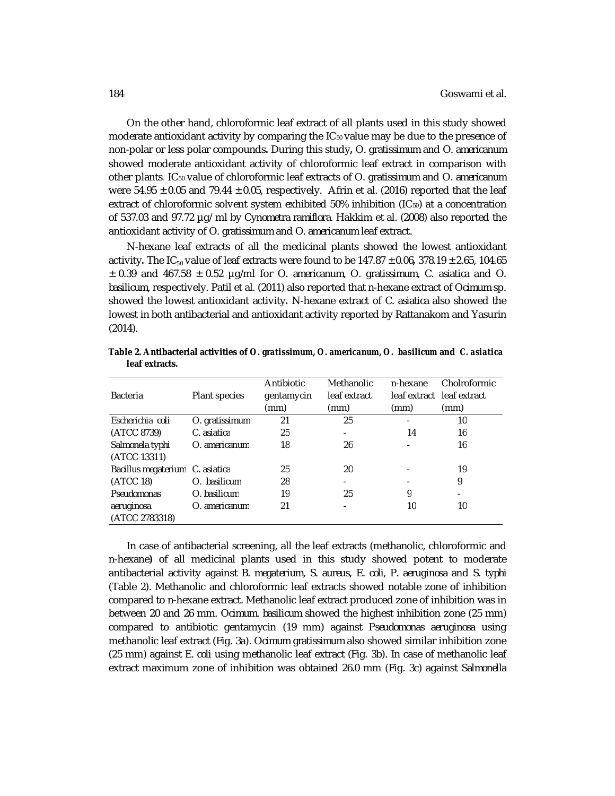On the other hand, chloroformic leaf extract of all plants used in this study showed moderate antioxidant activity by comparing the IC<sub>50</sub> value may be due to the presence of non-polar or less polar compounds*.* During this study*, O. gratissimum* and *O. americanum* showed moderate antioxidant activity of chloroformic leaf extract in comparison with other plants*.* IC<sup>50</sup> value of chloroformic leaf extracts of *O. gratissimum* and *O. americanum*  were 54.95  $\pm$  0.05 and 79.44  $\pm$  0.05, respectively. Afrin et al. (2016) reported that the leaf extract of chloroformic solvent system exhibited 50% inhibition (IC<sub>50</sub>) at a concentration of 537.03 and 97.72 µg/ ml by *Cynometra ramiflora.* Hakkim et al. (2008) also reported the antioxidant activity of *O. gratissimum* and *O. americanum* leaf extract.

N-hexane leaf extracts of all the medicinal plants showed the lowest antioxidant activity. The IC<sub>50</sub> value of leaf extracts were found to be 147.87 ± 0.06, 378.19 ± 2.65, 104.65  $\pm$  0.39 and 467.58  $\pm$  0.52  $\mu$ g/ml for *O. americanum, O. gratissimum, C. asiatica* and *O. basilicum,* respectively. Patil et al. (2011) also reported that *n*-hexane extract of *Ocimum* sp. showed the lowest antioxidant activity*.* N-hexane extract of *C. asiatica* also showed the lowest in both antibacterial and antioxidant activity reported by Rattanakom and Yasurin (2014).

| <b>Bacteria</b>                 | Plant species         | Antibiotic<br>gentamycin | Methanolic<br>leaf extract | <i>n</i> -hexane | Cholroformic<br>leaf extract leaf extract |
|---------------------------------|-----------------------|--------------------------|----------------------------|------------------|-------------------------------------------|
|                                 |                       | (mm)                     | (mm)                       | (mm)             | (mm)                                      |
| Escherichia coli                | O. gratissimum        | 21                       | 25                         |                  | 10                                        |
| (ATCC 8739)                     | C. asiatica           | 25                       |                            | 14               | 16                                        |
| Salmonela typhi                 | americanum<br>O       | 18                       | 26                         |                  | 16                                        |
| (ATCC 13311)                    |                       |                          |                            |                  |                                           |
| Bacillus megaterium C. asiatica |                       | 25                       | 20                         |                  | 19                                        |
| (ATCC 18)                       | basilicum<br>$\Omega$ | 28                       |                            |                  | 9                                         |
| Pseudomonas                     | basilicum<br>Ω.       | 19                       | 25                         | 9                |                                           |
| aeruginosa                      | americanum            | 21                       |                            | 10               | 10                                        |
| (ATCC 2783318)                  |                       |                          |                            |                  |                                           |

**Table 2. Antibacterial activities of** *O. gratissimum***,** *O. americanum, O. basilicum* **and** *C. asiatica*  **leaf extracts.**

In case of antibacterial screening, all the leaf extracts (methanolic, chloroformic and *n*-hexane*)* of all medicinal plants used in this study showed potent to moderate antibacterial activity against *B. megaterium*, *S*. *aureus*, *E*. *coli, P. aeruginosa* and *S*. *typhi* (Table 2). Methanolic and chloroformic leaf extracts showed notable zone of inhibition compared to *n*-hexane extract. Methanolic leaf extract produced zone of inhibition was in between 20 and 26 mm. *Ocimum. basilicum* showed the highest inhibition zone (25 mm) compared to antibiotic gentamycin (19 mm) against *Pseudomonas aeruginosa* using methanolic leaf extract (Fig. 3a). *Ocimum gratissimum* also showed similar inhibition zone (25 mm) against *E. coli* using methanolic leaf extract (Fig. 3b). In case of methanolic leaf extract maximum zone of inhibition was obtained 26.0 mm (Fig. 3c) against *Salmonella*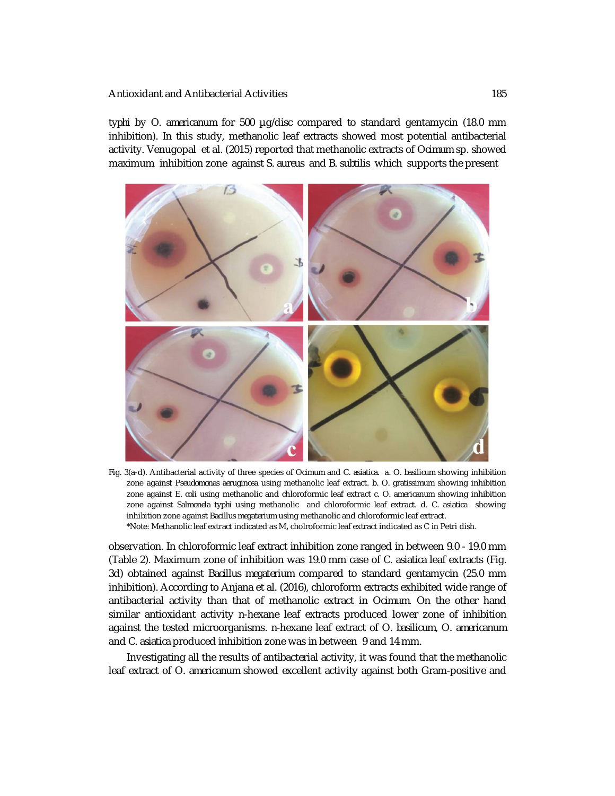#### Antioxidant and Antibacterial Activities 185

*typhi* by *O. americanum* for 500 µg/disc compared to standard gentamycin (18.0 mm inhibition). In this study, methanolic leaf extracts showed most potential antibacterial activity. Venugopal et al. (2015) reported that methanolic extracts of *Ocimum* sp. showed maximum inhibition zone against *S. aureus* and *B. subtilis* which supports the present



Fig. 3(a-d). Antibacterial activity of three species of *Ocimum* and *C*. *asiatica*. a. *O. basilicum* showing inhibition zone against *Pseudomonas aeruginosa* using methanolic leaf extract*.* b. *O. gratissimum* showing inhibition zone against *E. coli* using methanolic and chloroformic leaf extract c. *O. americanum* showing inhibition zone against *Salmonela typhi* using methanolic and chloroformic leaf extract. d. *C. asiatica* showing inhibition zone against *Bacillus megaterium* using methanolic and chloroformic leaf extract. \*Note: Methanolic leaf extract indicated as M**,** cholroformic leaf extract indicated as C in Petri dish.

observation. In chloroformic leaf extract inhibition zone ranged in between 9.0 - 19.0 mm (Table 2). Maximum zone of inhibition was 19.0 mm case of *C*. *asiatica* leaf extracts (Fig. 3d) obtained against *Bacillus megaterium* compared to standard gentamycin (25.0 mm inhibition). According to Anjana et al. (2016), chloroform extracts exhibited wide range of antibacterial activity than that of methanolic extract in *Ocimum.* On the other hand similar antioxidant activity *n*-hexane leaf extracts produced lower zone of inhibition against the tested microorganisms. *n*-hexane leaf extract of *O. basilicum, O. americanum* and *C. asiatica* produced inhibition zone was in between 9 and 14 mm.

Investigating all the results of antibacterial activity, it was found that the methanolic leaf extract of *O*. *americanum* showed excellent activity against both Gram-positive and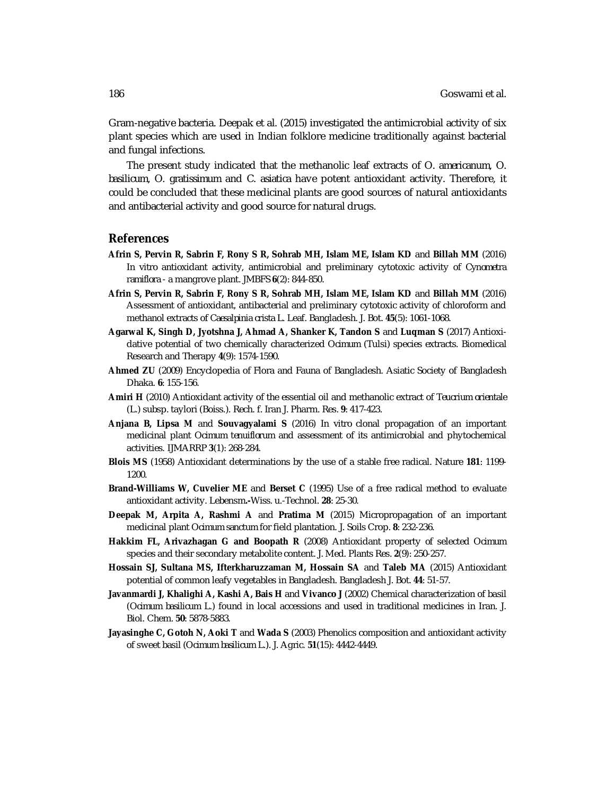Gram-negative bacteria. Deepak et al. (2015) investigated the antimicrobial activity of six plant species which are used in Indian folklore medicine traditionally against bacterial and fungal infections.

The present study indicated that the methanolic leaf extracts of *O. americanum, O. basilicum, O. gratissimum* and *C*. *asiatica* have potent antioxidant activity. Therefore, it could be concluded that these medicinal plants are good sources of natural antioxidants and antibacterial activity and good source for natural drugs.

#### **References**

- **Afrin S, Pervin R, Sabrin F, Rony S R, Sohrab MH, Islam ME, Islam KD** and **Billah MM** (2016) *In vitro* antioxidant activity, antimicrobial and preliminary cytotoxic activity of *Cynometra ramiflora* - a mangrove plant. JMBFS **6**(2): 844-850.
- **Afrin S, Pervin R, Sabrin F, Rony S R, Sohrab MH, Islam ME, Islam KD** and **Billah MM** (2016) Assessment of antioxidant, antibacterial and preliminary cytotoxic activity of chloroform and methanol extracts of *Caesalpinia crista* L. Leaf. Bangladesh. J. Bot. **45**(5): 1061-1068.
- **Agarwal K, Singh D, Jyotshna J, Ahmad A, Shanker K, Tandon S** and **Luqman S** (2017) Antioxidative potential of two chemically characterized *Ocimum* (Tulsi) species extracts. Biomedical Research and Therapy **4**(9): 1574-1590.
- **Ahmed ZU** (2009) Encyclopedia of Flora and Fauna of Bangladesh. Asiatic Society of Bangladesh Dhaka. **6**: 155-156.
- **Amiri H** (2010) Antioxidant activity of the essential oil and methanolic extract of *Teucrium orientale*  (L.) subsp. taylori (Boiss.). Rech. f. Iran J. Pharm. Res. **9**: 417-423.
- **Anjana B, Lipsa M** and **Souvagyalami S** (2016) *In vitro* clonal propagation of an important medicinal plant *Ocimum tenuiflorum* and assessment of its antimicrobial and phytochemical activities. IJMARRP **3**(1): 268-284.
- **Blois MS** (1958) Antioxidant determinations by the use of a stable free radical. Nature **181**: 1199- 1200.
- **Brand-Williams W, Cuvelier ME** and **Berset C** (1995) Use of a free radical method to evaluate antioxidant activity. Lebensm**.-**Wiss. u.-Technol. **28**: 25-30.
- **Deepak M, Arpita A, Rashmi A** and **Pratima M** (2015) Micropropagation of an important medicinal plant *Ocimum sanctum* for field plantation. J. Soils Crop. **8**: 232-236.
- **Hakkim FL, Arivazhagan G and Boopath R** (2008) Antioxidant property of selected *Ocimum* species and their secondary metabolite content. J. Med. Plants Res. **2**(9): 250-257.
- **Hossain SJ, Sultana MS, Ifterkharuzzaman M, Hossain SA** and **Taleb MA** (2015) Antioxidant potential of common leafy vegetables in Bangladesh. Bangladesh J. Bot. **44**: 51-57.
- **Javanmardi J, Khalighi A, Kashi A, Bais H** and **Vivanco J** (2002) Chemical characterization of basil (*Ocimum basilicum* L.) found in local accessions and used in traditional medicines in Iran. J. Biol. Chem. **50**: 5878-5883.
- **Jayasinghe C, Gotoh N, Aoki T** and **Wada S** (2003) Phenolics composition and antioxidant activity of sweet basil (*Ocimum basilicum* L.). J. Agric. **51**(15): 4442-4449.